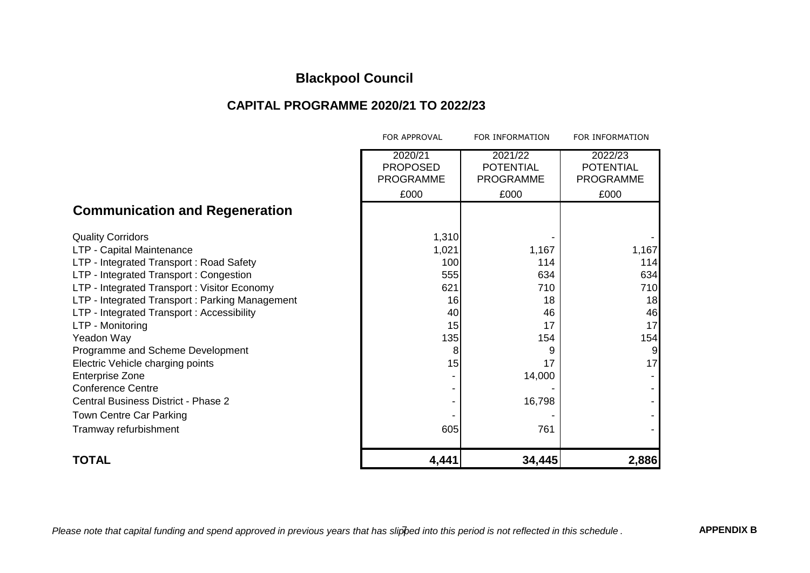### **CAPITAL PROGRAMME 2020/21 TO 2022/23**

|                                                                                                                                                                                                                                                                                                                                                                                                                                                                                                                            | FOR APPROVAL                                                            | FOR INFORMATION                                                                    | FOR INFORMATION                                           |
|----------------------------------------------------------------------------------------------------------------------------------------------------------------------------------------------------------------------------------------------------------------------------------------------------------------------------------------------------------------------------------------------------------------------------------------------------------------------------------------------------------------------------|-------------------------------------------------------------------------|------------------------------------------------------------------------------------|-----------------------------------------------------------|
|                                                                                                                                                                                                                                                                                                                                                                                                                                                                                                                            | 2020/21<br><b>PROPOSED</b><br><b>PROGRAMME</b><br>£000                  | 2021/22<br><b>POTENTIAL</b><br><b>PROGRAMME</b><br>£000                            | 2022/23<br><b>POTENTIAL</b><br><b>PROGRAMME</b><br>£000   |
| <b>Communication and Regeneration</b>                                                                                                                                                                                                                                                                                                                                                                                                                                                                                      |                                                                         |                                                                                    |                                                           |
| <b>Quality Corridors</b><br>LTP - Capital Maintenance<br>LTP - Integrated Transport: Road Safety<br>LTP - Integrated Transport: Congestion<br>LTP - Integrated Transport: Visitor Economy<br>LTP - Integrated Transport: Parking Management<br>LTP - Integrated Transport: Accessibility<br>LTP - Monitoring<br>Yeadon Way<br>Programme and Scheme Development<br>Electric Vehicle charging points<br><b>Enterprise Zone</b><br><b>Conference Centre</b><br>Central Business District - Phase 2<br>Town Centre Car Parking | 1,310<br>1,021<br>100<br>555<br>621<br>16<br>40<br>15<br>135<br>8<br>15 | 1,167<br>114<br>634<br>710<br>18<br>46<br>17<br>154<br>9<br>17<br>14,000<br>16,798 | 1,167<br>114<br>634<br>710<br>18<br>46<br>17<br>154<br>17 |
| Tramway refurbishment                                                                                                                                                                                                                                                                                                                                                                                                                                                                                                      | 605                                                                     | 761                                                                                |                                                           |
| <b>TOTAL</b>                                                                                                                                                                                                                                                                                                                                                                                                                                                                                                               | 4,441                                                                   | 34,445                                                                             | 2,886                                                     |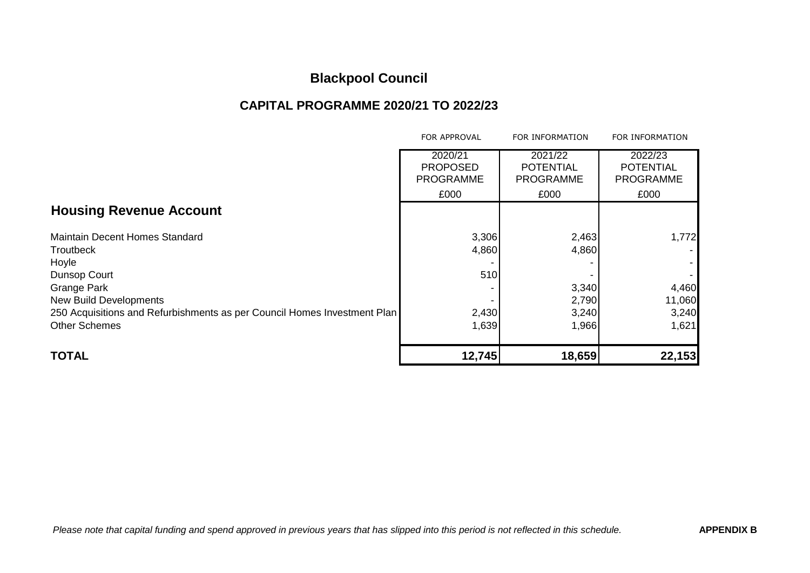### **CAPITAL PROGRAMME 2020/21 TO 2022/23**

|                                                                          | FOR APPROVAL                                           | FOR INFORMATION                                         | FOR INFORMATION                                         |
|--------------------------------------------------------------------------|--------------------------------------------------------|---------------------------------------------------------|---------------------------------------------------------|
|                                                                          | 2020/21<br><b>PROPOSED</b><br><b>PROGRAMME</b><br>£000 | 2021/22<br><b>POTENTIAL</b><br><b>PROGRAMME</b><br>£000 | 2022/23<br><b>POTENTIAL</b><br><b>PROGRAMME</b><br>£000 |
| <b>Housing Revenue Account</b>                                           |                                                        |                                                         |                                                         |
| <b>Maintain Decent Homes Standard</b>                                    | 3,306                                                  | 2,463                                                   | 1,772                                                   |
| Troutbeck                                                                | 4,860                                                  | 4,860                                                   |                                                         |
| Hoyle                                                                    |                                                        |                                                         |                                                         |
| Dunsop Court                                                             | 510                                                    |                                                         |                                                         |
| <b>Grange Park</b>                                                       |                                                        | 3,340                                                   | 4,460                                                   |
| <b>New Build Developments</b>                                            |                                                        | 2,790                                                   | 11,060                                                  |
| 250 Acquisitions and Refurbishments as per Council Homes Investment Plan | 2,430                                                  | 3,240                                                   | 3,240                                                   |
| <b>Other Schemes</b>                                                     | 1,639                                                  | 1,966                                                   | 1,621                                                   |
| <b>TOTAL</b>                                                             | 12,745                                                 | 18,659                                                  | 22,153                                                  |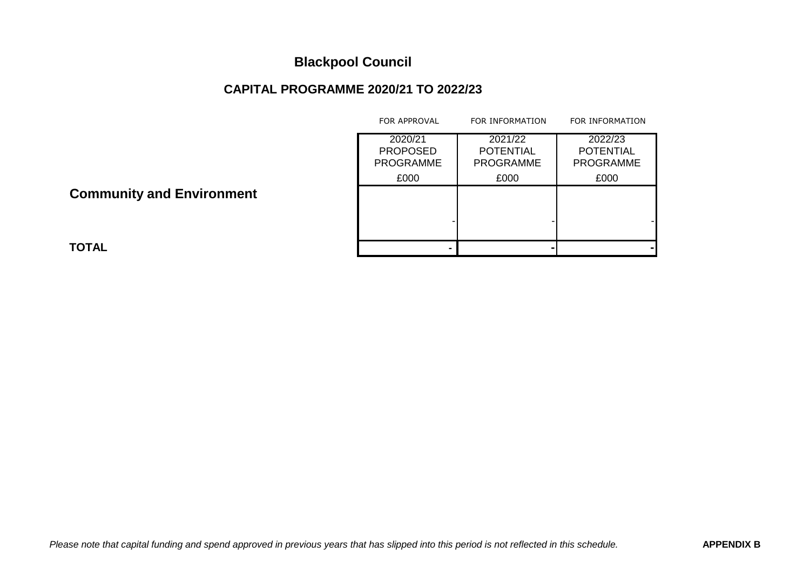### **CAPITAL PROGRAMME 2020/21 TO 2022/23**

|                                  | <b>FOR APPROVAL</b>                            | FOR INFORMATION                                 | FOR INFORMATION                                 |
|----------------------------------|------------------------------------------------|-------------------------------------------------|-------------------------------------------------|
|                                  | 2020/21<br><b>PROPOSED</b><br><b>PROGRAMME</b> | 2021/22<br><b>POTENTIAL</b><br><b>PROGRAMME</b> | 2022/23<br><b>POTENTIAL</b><br><b>PROGRAMME</b> |
|                                  | £000                                           | £000                                            | £000                                            |
| <b>Community and Environment</b> |                                                |                                                 |                                                 |
|                                  |                                                |                                                 |                                                 |
| TOTAL                            |                                                |                                                 |                                                 |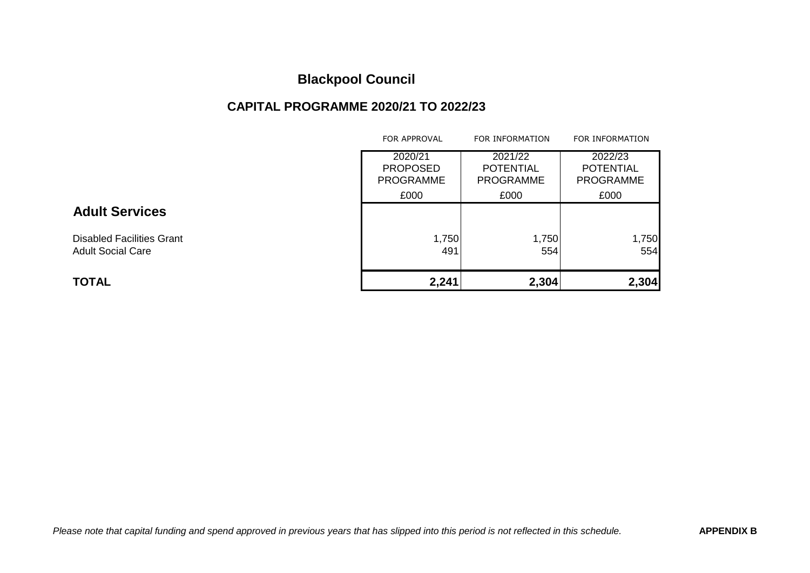### **CAPITAL PROGRAMME 2020/21 TO 2022/23**

|                                  | <b>FOR APPROVAL</b>                            | FOR INFORMATION                                 | FOR INFORMATION                                 |
|----------------------------------|------------------------------------------------|-------------------------------------------------|-------------------------------------------------|
|                                  | 2020/21<br><b>PROPOSED</b><br><b>PROGRAMME</b> | 2021/22<br><b>POTENTIAL</b><br><b>PROGRAMME</b> | 2022/23<br><b>POTENTIAL</b><br><b>PROGRAMME</b> |
|                                  | £000                                           | £000                                            | £000                                            |
| <b>Adult Services</b>            |                                                |                                                 |                                                 |
| <b>Disabled Facilities Grant</b> | 1,750                                          | 1,750                                           | 1,750                                           |
| <b>Adult Social Care</b>         | 491                                            | 554                                             | 554                                             |
| <b>TOTAL</b>                     | 2,241                                          | 2,304                                           | 2,304                                           |

#### *Please note that capital funding and spend approved in previous years that has slipped into this period is not reflected in this schedule.* **APPENDIX B**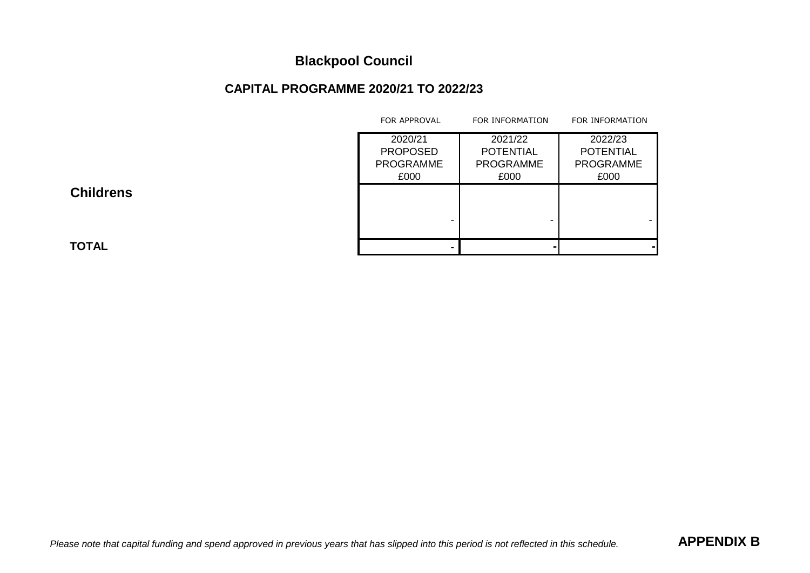### **CAPITAL PROGRAMME 2020/21 TO 2022/23**

|                  | FOR APPROVAL     | FOR INFORMATION  | FOR INFORMATION  |
|------------------|------------------|------------------|------------------|
|                  | 2020/21          | 2021/22          | 2022/23          |
|                  | <b>PROPOSED</b>  | <b>POTENTIAL</b> | <b>POTENTIAL</b> |
|                  | <b>PROGRAMME</b> | <b>PROGRAMME</b> | <b>PROGRAMME</b> |
|                  | £000             | £000             | £000             |
| <b>Childrens</b> |                  |                  |                  |
|                  |                  |                  |                  |
|                  |                  |                  |                  |
|                  |                  |                  |                  |
| TOTAL            |                  |                  |                  |
|                  |                  |                  |                  |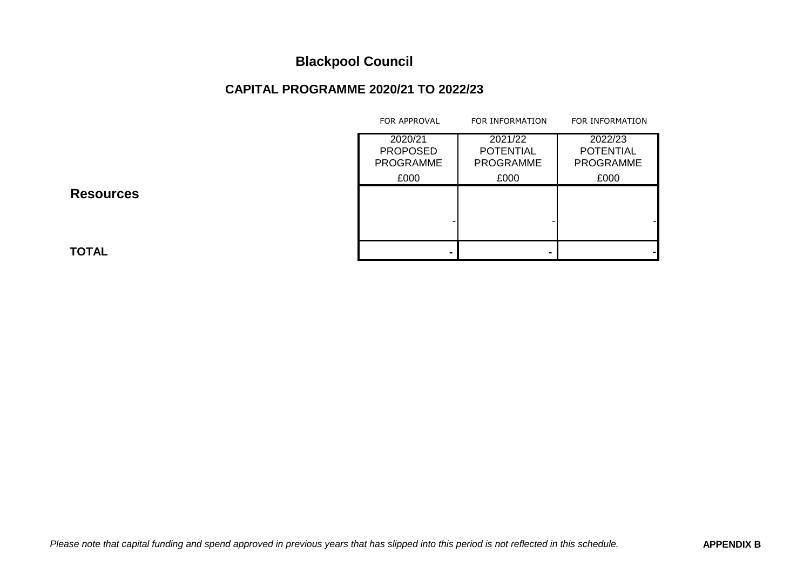### **CAPITAL PROGRAMME 2020/21 TO 2022/23**

|                  | FOR APPROVAL                                   | FOR INFORMATION                                 | FOR INFORMATION                                 |
|------------------|------------------------------------------------|-------------------------------------------------|-------------------------------------------------|
|                  | 2020/21<br><b>PROPOSED</b><br><b>PROGRAMME</b> | 2021/22<br><b>POTENTIAL</b><br><b>PROGRAMME</b> | 2022/23<br><b>POTENTIAL</b><br><b>PROGRAMME</b> |
|                  | £000                                           | £000                                            | £000                                            |
| <b>Resources</b> |                                                |                                                 |                                                 |
|                  |                                                |                                                 |                                                 |
| TOTAL            |                                                |                                                 |                                                 |